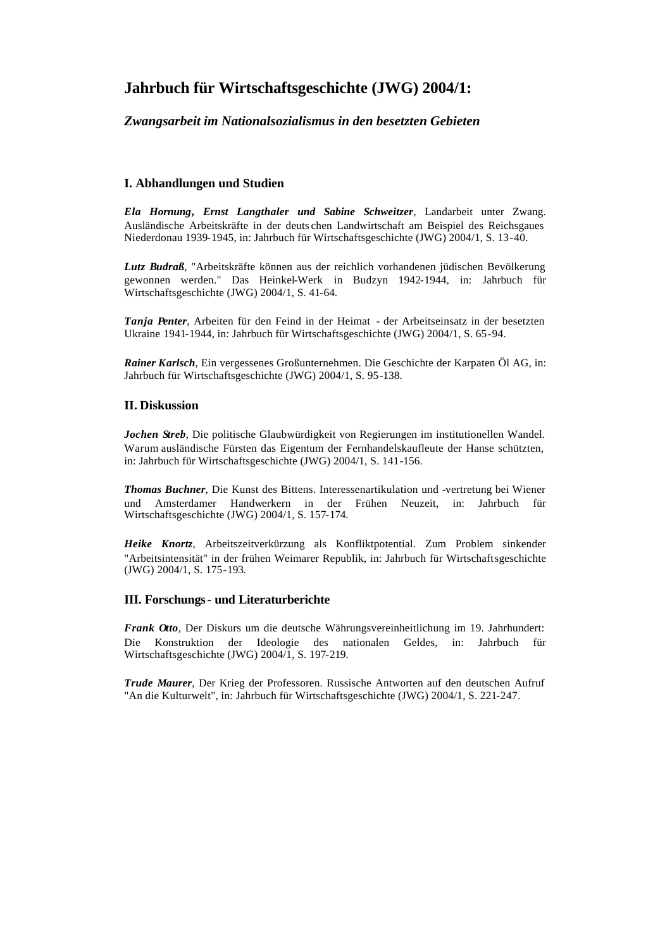# **Jahrbuch für Wirtschaftsgeschichte (JWG) 2004/1:**

# *Zwangsarbeit im Nationalsozialismus in den besetzten Gebieten*

# **I. Abhandlungen und Studien**

*Ela Hornung, Ernst Langthaler und Sabine Schweitzer*, Landarbeit unter Zwang. Ausländische Arbeitskräfte in der deuts chen Landwirtschaft am Beispiel des Reichsgaues Niederdonau 1939-1945, in: Jahrbuch für Wirtschaftsgeschichte (JWG) 2004/1, S. 13-40.

*Lutz Budraß*, "Arbeitskräfte können aus der reichlich vorhandenen jüdischen Bevölkerung gewonnen werden." Das Heinkel-Werk in Budzyn 1942-1944, in: Jahrbuch für Wirtschaftsgeschichte (JWG) 2004/1, S. 41-64.

*Tanja Penter*, Arbeiten für den Feind in der Heimat - der Arbeitseinsatz in der besetzten Ukraine 1941-1944, in: Jahrbuch für Wirtschaftsgeschichte (JWG) 2004/1, S. 65-94.

*Rainer Karlsch*, Ein vergessenes Großunternehmen. Die Geschichte der Karpaten Öl AG, in: Jahrbuch für Wirtschaftsgeschichte (JWG) 2004/1, S. 95-138.

# **II. Diskussion**

*Jochen Streb*, Die politische Glaubwürdigkeit von Regierungen im institutionellen Wandel. Warum ausländische Fürsten das Eigentum der Fernhandelskaufleute der Hanse schützten, in: Jahrbuch für Wirtschaftsgeschichte (JWG) 2004/1, S. 141-156.

*Thomas Buchner*, Die Kunst des Bittens. Interessenartikulation und -vertretung bei Wiener und Amsterdamer Handwerkern in der Frühen Neuzeit, in: Jahrbuch für Wirtschaftsgeschichte (JWG) 2004/1, S. 157-174.

*Heike Knortz*, Arbeitszeitverkürzung als Konfliktpotential. Zum Problem sinkender "Arbeitsintensität" in der frühen Weimarer Republik, in: Jahrbuch für Wirtschaftsgeschichte (JWG) 2004/1, S. 175-193.

# **III. Forschungs- und Literaturberichte**

*Frank Otto*, Der Diskurs um die deutsche Währungsvereinheitlichung im 19. Jahrhundert: Die Konstruktion der Ideologie des nationalen Geldes, in: Jahrbuch für Wirtschaftsgeschichte (JWG) 2004/1, S. 197-219.

*Trude Maurer*, Der Krieg der Professoren. Russische Antworten auf den deutschen Aufruf "An die Kulturwelt", in: Jahrbuch für Wirtschaftsgeschichte (JWG) 2004/1, S. 221-247.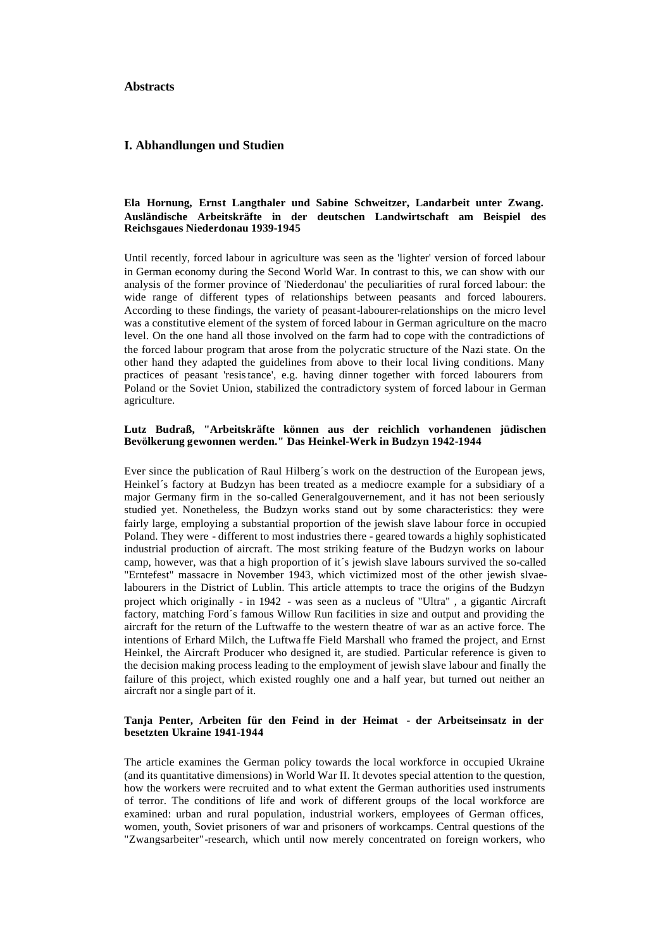### **Abstracts**

#### **I. Abhandlungen und Studien**

## **Ela Hornung, Ernst Langthaler und Sabine Schweitzer, Landarbeit unter Zwang. Ausländische Arbeitskräfte in der deutschen Landwirtschaft am Beispiel des Reichsgaues Niederdonau 1939-1945**

Until recently, forced labour in agriculture was seen as the 'lighter' version of forced labour in German economy during the Second World War. In contrast to this, we can show with our analysis of the former province of 'Niederdonau' the peculiarities of rural forced labour: the wide range of different types of relationships between peasants and forced labourers. According to these findings, the variety of peasant-labourer-relationships on the micro level was a constitutive element of the system of forced labour in German agriculture on the macro level. On the one hand all those involved on the farm had to cope with the contradictions of the forced labour program that arose from the polycratic structure of the Nazi state. On the other hand they adapted the guidelines from above to their local living conditions. Many practices of peasant 'resistance', e.g. having dinner together with forced labourers from Poland or the Soviet Union, stabilized the contradictory system of forced labour in German agriculture.

### **Lutz Budraß, "Arbeitskräfte können aus der reichlich vorhandenen jüdischen Bevölkerung gewonnen werden." Das Heinkel-Werk in Budzyn 1942-1944**

Ever since the publication of Raul Hilberg´s work on the destruction of the European jews, Heinkel´s factory at Budzyn has been treated as a mediocre example for a subsidiary of a major Germany firm in the so-called Generalgouvernement, and it has not been seriously studied yet. Nonetheless, the Budzyn works stand out by some characteristics: they were fairly large, employing a substantial proportion of the jewish slave labour force in occupied Poland. They were - different to most industries there - geared towards a highly sophisticated industrial production of aircraft. The most striking feature of the Budzyn works on labour camp, however, was that a high proportion of it´s jewish slave labours survived the so-called "Erntefest" massacre in November 1943, which victimized most of the other jewish slvaelabourers in the District of Lublin. This article attempts to trace the origins of the Budzyn project which originally - in 1942 - was seen as a nucleus of "Ultra" , a gigantic Aircraft factory, matching Ford´s famous Willow Run facilities in size and output and providing the aircraft for the return of the Luftwaffe to the western theatre of war as an active force. The intentions of Erhard Milch, the Luftwa ffe Field Marshall who framed the project, and Ernst Heinkel, the Aircraft Producer who designed it, are studied. Particular reference is given to the decision making process leading to the employment of jewish slave labour and finally the failure of this project, which existed roughly one and a half year, but turned out neither an aircraft nor a single part of it.

### **Tanja Penter, Arbeiten für den Feind in der Heimat - der Arbeitseinsatz in der besetzten Ukraine 1941-1944**

The article examines the German policy towards the local workforce in occupied Ukraine (and its quantitative dimensions) in World War II. It devotes special attention to the question, how the workers were recruited and to what extent the German authorities used instruments of terror. The conditions of life and work of different groups of the local workforce are examined: urban and rural population, industrial workers, employees of German offices, women, youth, Soviet prisoners of war and prisoners of workcamps. Central questions of the "Zwangsarbeiter"-research, which until now merely concentrated on foreign workers, who